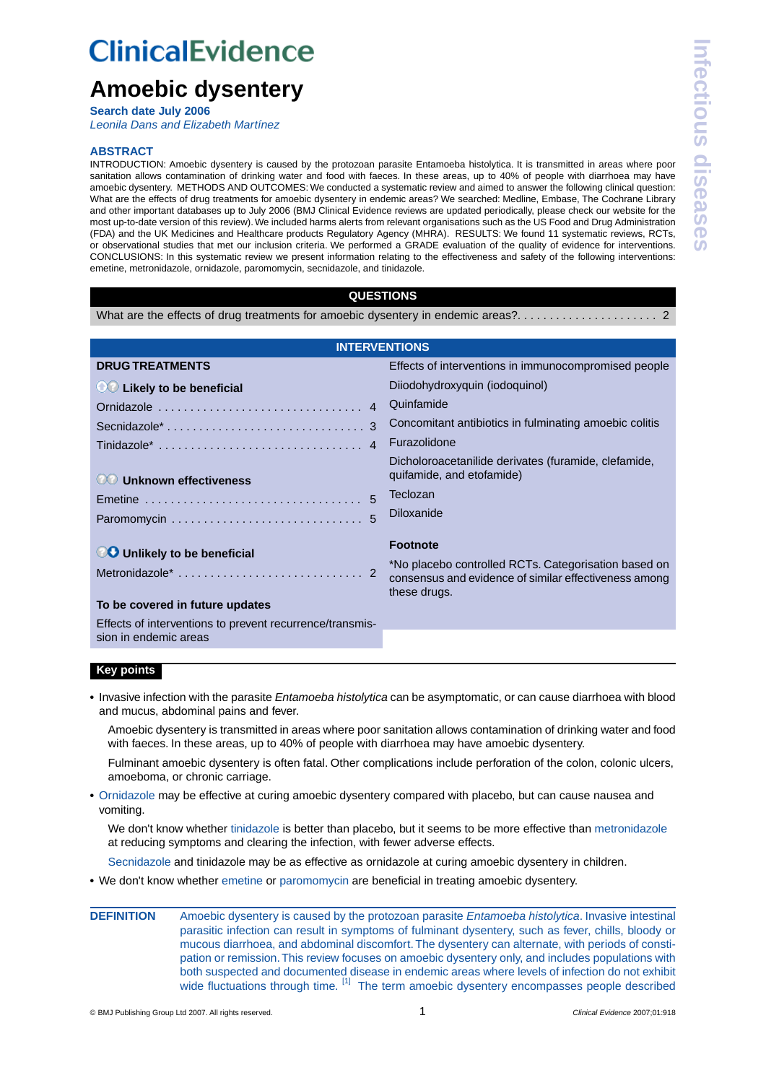# **ClinicalEvidence**

# **Amoebic dysentery**

**Search date July 2006**

*[Leonila Dans and Elizabeth Martínez](#page-5-0)*

# **ABSTRACT**

INTRODUCTION: Amoebic dysentery is caused by the protozoan parasite Entamoeba histolytica. It is transmitted in areas where poor sanitation allows contamination of drinking water and food with faeces. In these areas, up to 40% of people with diarrhoea may have amoebic dysentery. METHODS AND OUTCOMES: We conducted a systematic review and aimed to answer the following clinical question: What are the effects of drug treatments for amoebic dysentery in endemic areas? We searched: Medline, Embase, The Cochrane Library and other important databases up to July 2006 (BMJ Clinical Evidence reviews are updated periodically, please check our website for the most up-to-date version of this review).We included harms alerts from relevant organisations such as the US Food and Drug Administration (FDA) and the UK Medicines and Healthcare products Regulatory Agency (MHRA). RESULTS: We found 11 systematic reviews, RCTs, or observational studies that met our inclusion criteria. We performed a GRADE evaluation of the quality of evidence for interventions. CONCLUSIONS: In this systematic review we present information relating to the effectiveness and safety of the following interventions: emetine, metronidazole, ornidazole, paromomycin, secnidazole, and tinidazole.

# **QUESTIONS**

[What are the effects of drug treatments for amoebic dysentery in endemic areas?.](#page-1-0) . . . . . . . . . . . . . . . . . . . . . 2

| <b>INTERVENTIONS</b>                                                                                                               |                                                                                                                                                  |  |  |  |  |  |
|------------------------------------------------------------------------------------------------------------------------------------|--------------------------------------------------------------------------------------------------------------------------------------------------|--|--|--|--|--|
| <b>DRUG TREATMENTS</b>                                                                                                             | Effects of interventions in immunocompromised people                                                                                             |  |  |  |  |  |
| OC Likely to be beneficial                                                                                                         | Diiodohydroxyquin (iodoquinol)                                                                                                                   |  |  |  |  |  |
| Ornidazole<br>4                                                                                                                    | Quinfamide                                                                                                                                       |  |  |  |  |  |
| 3<br>Secnidazole <sup>*</sup>                                                                                                      | Concomitant antibiotics in fulminating amoebic colitis                                                                                           |  |  |  |  |  |
| Tinidazole*  4                                                                                                                     | Furazolidone                                                                                                                                     |  |  |  |  |  |
| <b>OO Unknown effectiveness</b>                                                                                                    | Dicholoroacetanilide derivates (furamide, clefamide,<br>quifamide, and etofamide)<br>Teclozan                                                    |  |  |  |  |  |
| $\overline{5}$<br>Emetine $\ldots \ldots \ldots \ldots \ldots \ldots \ldots \ldots \ldots \ldots$                                  |                                                                                                                                                  |  |  |  |  |  |
| 5                                                                                                                                  | Diloxanide                                                                                                                                       |  |  |  |  |  |
| <b>CO</b> Unlikely to be beneficial<br>To be covered in future updates<br>Effects of interventions to prevent recurrence/transmis- | <b>Footnote</b><br>*No placebo controlled RCTs. Categorisation based on<br>consensus and evidence of similar effectiveness among<br>these drugs. |  |  |  |  |  |
| sion in endemic areas                                                                                                              |                                                                                                                                                  |  |  |  |  |  |

# **Key points**

**•** Invasive infection with the parasite *Entamoeba histolytica* can be asymptomatic, or can cause diarrhoea with blood and mucus, abdominal pains and fever.

Amoebic dysentery is transmitted in areas where poor sanitation allows contamination of drinking water and food with faeces. In these areas, up to 40% of people with diarrhoea may have amoebic dysentery.

Fulminant amoebic dysentery is often fatal. Other complications include perforation of the colon, colonic ulcers, amoeboma, or chronic carriage.

**•** [Ornidazole](#page-3-0) may be effective at curing amoebic dysentery compared with placebo, but can cause nausea and vomiting.

We don't know whether [tinidazole](#page-3-1) is better than placebo, but it seems to be more effective than [metronidazole](#page-1-1) at reducing symptoms and clearing the infection, with fewer adverse effects.

[Secnidazole](#page-2-0) and tinidazole may be as effective as ornidazole at curing amoebic dysentery in children.

- **•** We don't know whether [emetine](#page-4-0) or [paromomycin](#page-4-1) are beneficial in treating amoebic dysentery.
- **DEFINITION** Amoebic dysentery is caused by the protozoan parasite *Entamoeba histolytica*. Invasive intestinal parasitic infection can result in symptoms of fulminant dysentery, such as fever, chills, bloody or mucous diarrhoea, and abdominal discomfort.The dysentery can alternate, with periods of constipation or remission.This review focuses on amoebic dysentery only, and includes populations with both suspected and documented disease in endemic areas where levels of infection do not exhibit wide fluctuations through time. <sup>[\[1\]](#page-5-1)</sup> The term amoebic dysentery encompasses people described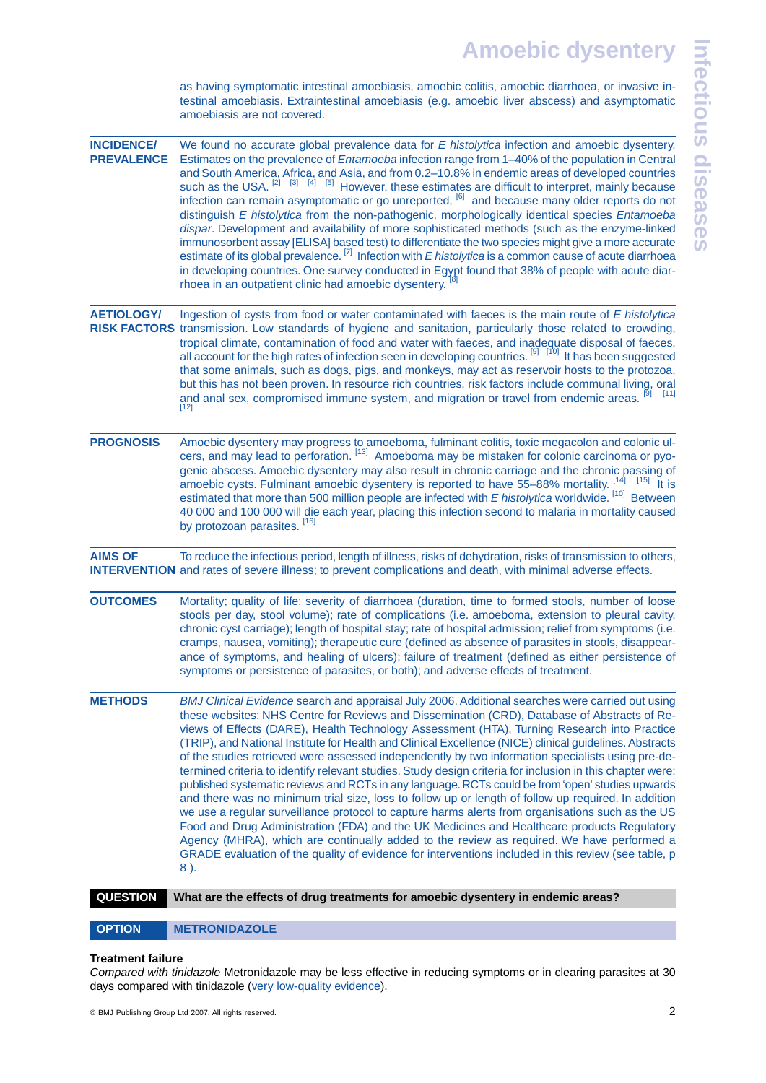as having symptomatic intestinal amoebiasis, amoebic colitis, amoebic diarrhoea, or invasive intestinal amoebiasis. Extraintestinal amoebiasis (e.g. amoebic liver abscess) and asymptomatic amoebiasis are not covered.

<span id="page-1-2"></span>

| <b>INCIDENCE/</b><br><b>PREVALENCE</b> | We found no accurate global prevalence data for E histolytica infection and amoebic dysentery.<br>Estimates on the prevalence of Entamoeba infection range from 1-40% of the population in Central<br>and South America, Africa, and Asia, and from 0.2-10.8% in endemic areas of developed countries<br>such as the USA. <sup>[2]</sup> [3] [4] [5] However, these estimates are difficult to interpret, mainly because<br>infection can remain asymptomatic or go unreported, <sup>[6]</sup> and because many older reports do not<br>distinguish E histolytica from the non-pathogenic, morphologically identical species Entamoeba<br>dispar. Development and availability of more sophisticated methods (such as the enzyme-linked<br>immunosorbent assay [ELISA] based test) to differentiate the two species might give a more accurate<br>estimate of its global prevalence. $^{[7]}$ Infection with E histolytica is a common cause of acute diarrhoea<br>in developing countries. One survey conducted in Egypt found that 38% of people with acute diar-<br>rhoea in an outpatient clinic had amoebic dysentery. <sup>[8]</sup>                                                                                                              |
|----------------------------------------|---------------------------------------------------------------------------------------------------------------------------------------------------------------------------------------------------------------------------------------------------------------------------------------------------------------------------------------------------------------------------------------------------------------------------------------------------------------------------------------------------------------------------------------------------------------------------------------------------------------------------------------------------------------------------------------------------------------------------------------------------------------------------------------------------------------------------------------------------------------------------------------------------------------------------------------------------------------------------------------------------------------------------------------------------------------------------------------------------------------------------------------------------------------------------------------------------------------------------------------------------------|
| <b>AETIOLOGY/</b>                      | Ingestion of cysts from food or water contaminated with faeces is the main route of E histolytica<br>RISK FACTORS transmission. Low standards of hygiene and sanitation, particularly those related to crowding,<br>tropical climate, contamination of food and water with faeces, and inadequate disposal of faeces,<br>all account for the high rates of infection seen in developing countries. <sup>[9] [10]</sup> It has been suggested<br>that some animals, such as dogs, pigs, and monkeys, may act as reservoir hosts to the protozoa,<br>but this has not been proven. In resource rich countries, risk factors include communal living, oral<br>and anal sex, compromised immune system, and migration or travel from endemic areas. <sup>[9]</sup> [11]<br>$[12]$                                                                                                                                                                                                                                                                                                                                                                                                                                                                           |
| <b>PROGNOSIS</b>                       | Amoebic dysentery may progress to amoeboma, fulminant colitis, toxic megacolon and colonic ul-<br>cers, and may lead to perforation. [13] Amoeboma may be mistaken for colonic carcinoma or pyo-<br>genic abscess. Amoebic dysentery may also result in chronic carriage and the chronic passing of<br>amoebic cysts. Fulminant amoebic dysentery is reported to have $55-88\%$ mortality. $^{[14]}_{\ldots}$ [15] It is<br>estimated that more than 500 million people are infected with E histolytica worldwide. [10] Between<br>40 000 and 100 000 will die each year, placing this infection second to malaria in mortality caused<br>by protozoan parasites. [16]                                                                                                                                                                                                                                                                                                                                                                                                                                                                                                                                                                                  |
| <b>AIMS OF</b>                         | To reduce the infectious period, length of illness, risks of dehydration, risks of transmission to others,<br><b>INTERVENTION</b> and rates of severe illness; to prevent complications and death, with minimal adverse effects.                                                                                                                                                                                                                                                                                                                                                                                                                                                                                                                                                                                                                                                                                                                                                                                                                                                                                                                                                                                                                        |
| <b>OUTCOMES</b>                        | Mortality; quality of life; severity of diarrhoea (duration, time to formed stools, number of loose<br>stools per day, stool volume); rate of complications (i.e. amoeboma, extension to pleural cavity,<br>chronic cyst carriage); length of hospital stay; rate of hospital admission; relief from symptoms (i.e.<br>cramps, nausea, vomiting); therapeutic cure (defined as absence of parasites in stools, disappear-<br>ance of symptoms, and healing of ulcers); failure of treatment (defined as either persistence of<br>symptoms or persistence of parasites, or both); and adverse effects of treatment.                                                                                                                                                                                                                                                                                                                                                                                                                                                                                                                                                                                                                                      |
| <b>METHODS</b>                         | BMJ Clinical Evidence search and appraisal July 2006. Additional searches were carried out using<br>these websites: NHS Centre for Reviews and Dissemination (CRD), Database of Abstracts of Re-<br>views of Effects (DARE), Health Technology Assessment (HTA), Turning Research into Practice<br>(TRIP), and National Institute for Health and Clinical Excellence (NICE) clinical guidelines. Abstracts<br>of the studies retrieved were assessed independently by two information specialists using pre-de-<br>termined criteria to identify relevant studies. Study design criteria for inclusion in this chapter were:<br>published systematic reviews and RCTs in any language. RCTs could be from 'open' studies upwards<br>and there was no minimum trial size, loss to follow up or length of follow up required. In addition<br>we use a regular surveillance protocol to capture harms alerts from organisations such as the US<br>Food and Drug Administration (FDA) and the UK Medicines and Healthcare products Regulatory<br>Agency (MHRA), which are continually added to the review as required. We have performed a<br>GRADE evaluation of the quality of evidence for interventions included in this review (see table, p<br>$8$ ). |
| <b>QUESTION</b>                        | What are the effects of drug treatments for amoebic dysentery in endemic areas?                                                                                                                                                                                                                                                                                                                                                                                                                                                                                                                                                                                                                                                                                                                                                                                                                                                                                                                                                                                                                                                                                                                                                                         |

<span id="page-1-1"></span><span id="page-1-0"></span>OPTION METRONIDAZOLE

# **Treatment failure**

*Compared with tinidazole* Metronidazole may be less effective in reducing symptoms or in clearing parasites at 30 days compared with tinidazole ([very low-quality evidence\)](#page-5-17).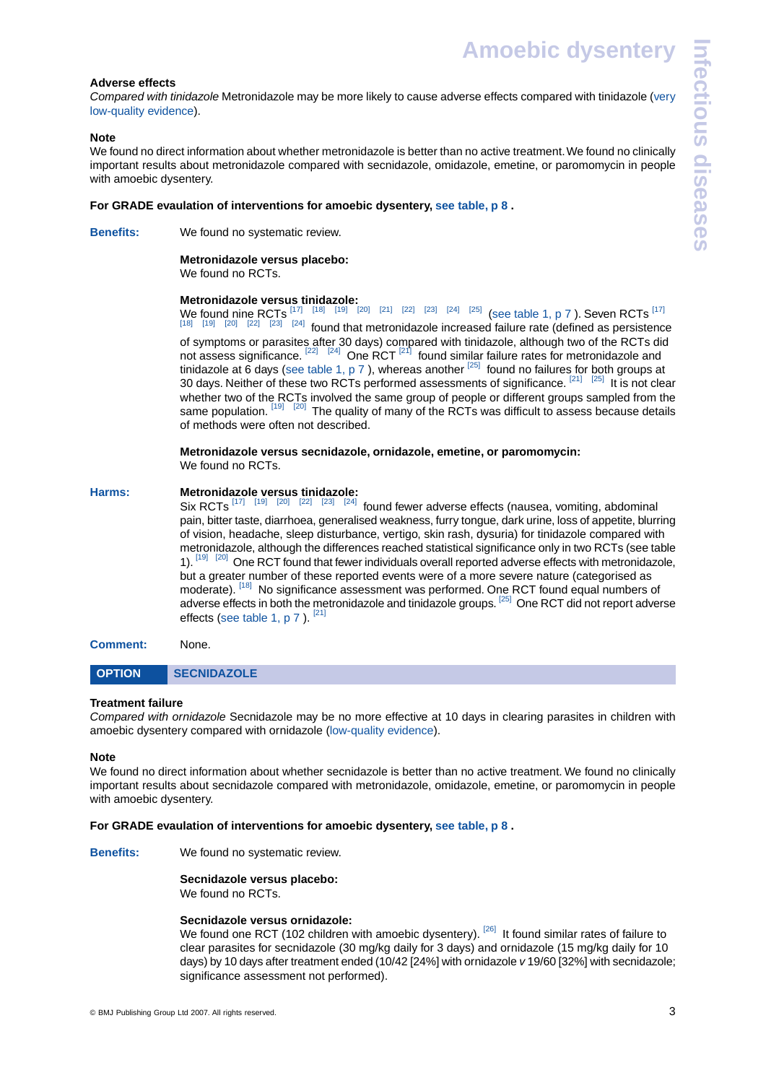**Amoebic dysentery**

# **Adverse effects**

*Compared with tinidazole* Metronidazole may be more likely to cause adverse effects compared with tinidazole [\(very](#page-5-17) [low-quality evidence\)](#page-5-17).

# **Note**

We found no direct information about whether metronidazole is better than no active treatment. We found no clinically important results about metronidazole compared with secnidazole, omidazole, emetine, or paromomycin in people with amoebic dysentery.

### **For GRADE evaulation of interventions for amoebic dysentery, [see table, p 8](#page-7-0) .**

**Benefits:** We found no systematic review.

# **Metronidazole versus placebo:**

We found no RCTs.

# **Metronidazole versus tinidazole:**

We found nine RCTs  $^{[17]}$  $^{[17]}$  $^{[17]}$   $^{[18]}$  $^{[18]}$  $^{[18]}$   $^{[19]}$  $^{[19]}$  $^{[19]}$   $^{[20]}$  $^{[20]}$  $^{[20]}$   $^{[21]}$  $^{[21]}$  $^{[21]}$   $^{[22]}$  $^{[22]}$  $^{[22]}$   $^{[23]}$  $^{[23]}$  $^{[23]}$   $^{[24]}$  $^{[24]}$  $^{[24]}$   $^{[25]}$  $^{[25]}$  $^{[25]}$  ([see table 1, p 7](#page-6-0)). Seven RCTs  $^{[17]}$ [\[18\]](#page-5-19) [\[19\]](#page-5-20) [\[20\]](#page-5-21) [\[22\]](#page-5-23) [\[23\]](#page-5-24) [\[24\]](#page-5-25) found that metronidazole increased failure rate (defined as persistence of symptoms or parasites after 30 days) compared with tinidazole, although two of the RCTs did not assess significance. <sup>[\[22\]](#page-5-23) [\[24\]](#page-5-25)</sup> One RCT <sup>[\[21\]](#page-5-22)</sup> found similar failure rates for metronidazole and tinidazole at 6 days [\(see table 1, p 7](#page-6-0)), whereas another <sup>[\[25\]](#page-5-26)</sup> found no failures for both groups at 30 days. Neither of these two RCTs performed assessments of significance. <sup>[\[21\]](#page-5-22) [\[25\]](#page-5-26)</sup> It is not clear whether two of the RCTs involved the same group of people or different groups sampled from the same population. [\[19\]](#page-5-20) [\[20\]](#page-5-21) The quality of many of the RCTs was difficult to assess because details of methods were often not described.

#### **Metronidazole versus secnidazole, ornidazole, emetine, or paromomycin:** We found no RCTs.

# **Harms: Metronidazole versus tinidazole:**

Six RCTs  $^{[17]}$  $^{[17]}$  $^{[17]}$   $^{[19]}$  $^{[19]}$  $^{[19]}$   $^{[20]}$  $^{[20]}$  $^{[20]}$   $^{[22]}$  $^{[22]}$  $^{[22]}$   $^{[23]}$  $^{[23]}$  $^{[23]}$   $^{[24]}$  $^{[24]}$  $^{[24]}$  found fewer adverse effects (nausea, vomiting, abdominal pain, bitter taste, diarrhoea, generalised weakness, furry tongue, dark urine, loss of appetite, blurring of vision, headache, sleep disturbance, vertigo, skin rash, dysuria) for tinidazole compared with metronidazole, although the differences reached statistical significance only in two RCTs (see table 1). [\[19\]](#page-5-20) [\[20\]](#page-5-21) One RCT found that fewer individuals overall reported adverse effects with metronidazole, but a greater number of these reported events were of a more severe nature (categorised as moderate). [\[18\]](#page-5-19) No significance assessment was performed. One RCT found equal numbers of adverse effects in both the metronidazole and tinidazole groups. <sup>[\[25\]](#page-5-26)</sup> One RCT did not report adverse effects ([see table 1, p 7](#page-6-0)).<sup>[\[21\]](#page-5-22)</sup>

# <span id="page-2-0"></span>**Comment:** None.

# OPTION SECNIDAZOLE

### **Treatment failure**

*Compared with ornidazole* Secnidazole may be no more effective at 10 days in clearing parasites in children with amoebic dysentery compared with ornidazole [\(low-quality evidence](#page-5-27)).

### **Note**

We found no direct information about whether secnidazole is better than no active treatment. We found no clinically important results about secnidazole compared with metronidazole, omidazole, emetine, or paromomycin in people with amoebic dysentery.

# **For GRADE evaulation of interventions for amoebic dysentery, [see table, p 8](#page-7-0) .**

**Benefits:** We found no systematic review.

**Secnidazole versus placebo:** We found no RCTs.

### **Secnidazole versus ornidazole:**

We found one RCT (102 children with amoebic dysentery). <sup>[\[26\]](#page-5-28)</sup> It found similar rates of failure to clear parasites for secnidazole (30 mg/kg daily for 3 days) and ornidazole (15 mg/kg daily for 10 days) by 10 days after treatment ended (10/42 [24%] with ornidazole *v* 19/60 [32%] with secnidazole; significance assessment not performed).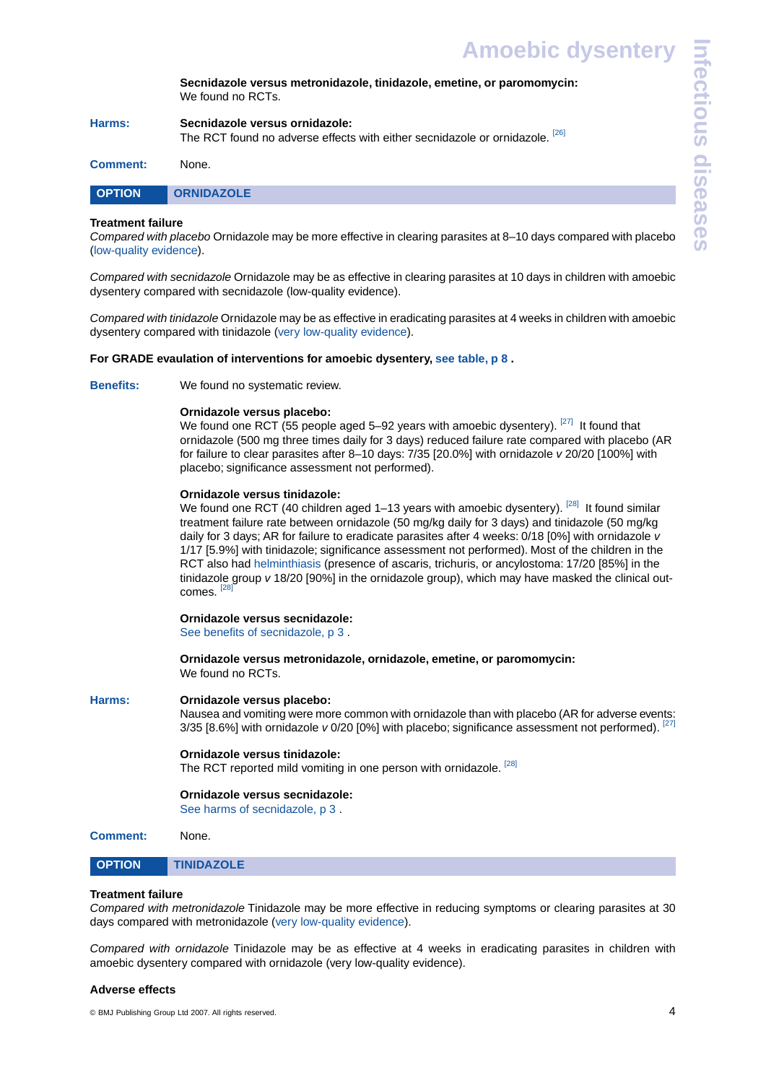**Secnidazole versus metronidazole, tinidazole, emetine, or paromomycin:** We found no RCTs.

| Harms: | Secnidazole versus ornidazole:                                               |
|--------|------------------------------------------------------------------------------|
|        | The RCT found no adverse effects with either secnidazole or ornidazole. [26] |

<span id="page-3-0"></span>

|--|

# **Treatment failure**

*Compared with placebo* Ornidazole may be more effective in clearing parasites at 8–10 days compared with placebo ([low-quality evidence\)](#page-5-27).

*Compared with secnidazole* Ornidazole may be as effective in clearing parasites at 10 days in children with amoebic dysentery compared with secnidazole (low-quality evidence).

*Compared with tinidazole* Ornidazole may be as effective in eradicating parasites at 4 weeks in children with amoebic dysentery compared with tinidazole [\(very low-quality evidence](#page-5-17)).

# **For GRADE evaulation of interventions for amoebic dysentery, [see table, p 8](#page-7-0) .**

**Benefits:** We found no systematic review.

# **Ornidazole versus placebo:**

We found one RCT (55 people aged 5–92 years with amoebic dysentery).  $[27]$  It found that ornidazole (500 mg three times daily for 3 days) reduced failure rate compared with placebo (AR for failure to clear parasites after 8–10 days: 7/35 [20.0%] with ornidazole *v* 20/20 [100%] with placebo; significance assessment not performed).

# **Ornidazole versus tinidazole:**

We found one RCT (40 children aged 1-13 years with amoebic dysentery). <sup>[\[28\]](#page-5-30)</sup> It found similar treatment failure rate between ornidazole (50 mg/kg daily for 3 days) and tinidazole (50 mg/kg daily for 3 days; AR for failure to eradicate parasites after 4 weeks: 0/18 [0%] with ornidazole *v* 1/17 [5.9%] with tinidazole; significance assessment not performed). Most of the children in the RCT also had [helminthiasis](#page-4-2) (presence of ascaris, trichuris, or ancylostoma: 17/20 [85%] in the tinidazole group *v* 18/20 [90%] in the ornidazole group), which may have masked the clinical outcomes. [\[28\]](#page-5-30)

# **Ornidazole versus secnidazole:**

[See benefits of secnidazole, p 3](#page-2-0) .

**Ornidazole versus metronidazole, ornidazole, emetine, or paromomycin:** We found no RCTs.

# **Harms: Ornidazole versus placebo:**

Nausea and vomiting were more common with ornidazole than with placebo (AR for adverse events: 3/35 [8.6%] with ornidazole *v* 0/20 [0%] with placebo; significance assessment not performed). <sup>[\[27\]](#page-5-29)</sup>

### **Ornidazole versus tinidazole:**

<span id="page-3-1"></span>The RCT reported mild vomiting in one person with ornidazole. <sup>[\[28\]](#page-5-30)</sup>

# **Ornidazole versus secnidazole:**

[See harms of secnidazole, p 3](#page-2-0) .

| None. |
|-------|
|       |

```
OPTION TINIDAZOLE
```
### **Treatment failure**

*Compared with metronidazole* Tinidazole may be more effective in reducing symptoms or clearing parasites at 30 days compared with metronidazole [\(very low-quality evidence](#page-5-17)).

*Compared with ornidazole* Tinidazole may be as effective at 4 weeks in eradicating parasites in children with amoebic dysentery compared with ornidazole (very low-quality evidence).

### **Adverse effects**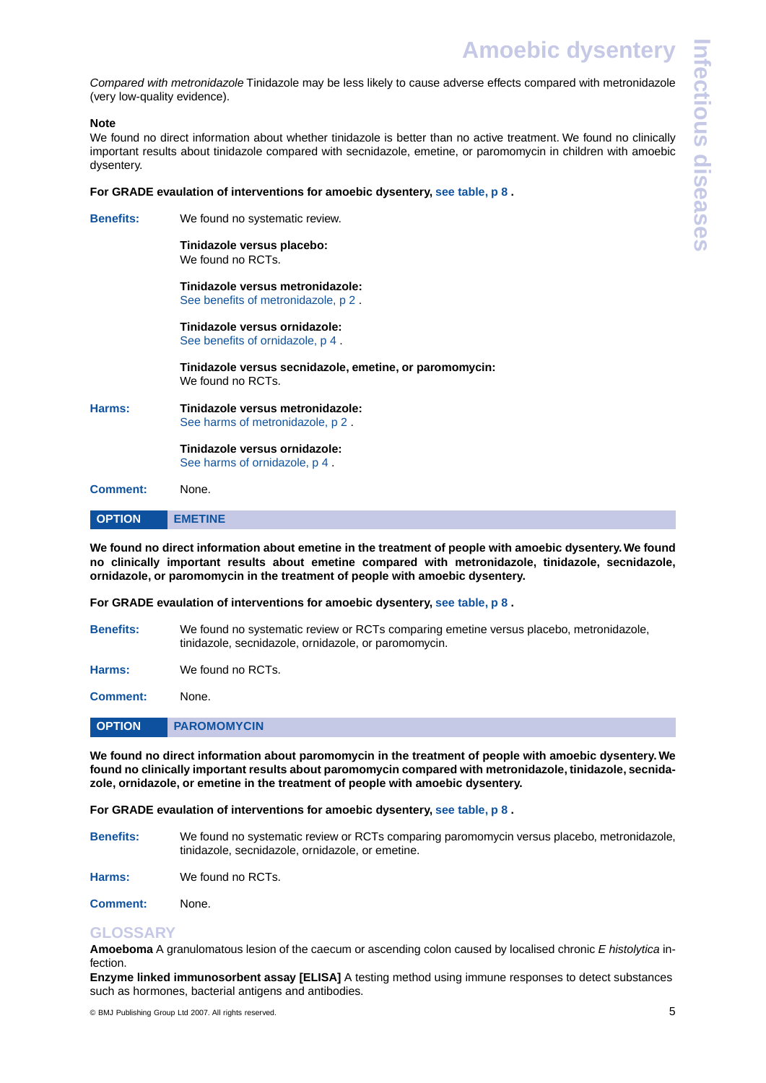*Compared with metronidazole* Tinidazole may be less likely to cause adverse effects compared with metronidazole (very low-quality evidence).

# **Note**

We found no direct information about whether tinidazole is better than no active treatment. We found no clinically important results about tinidazole compared with secnidazole, emetine, or paromomycin in children with amoebic dysentery.

# **For GRADE evaulation of interventions for amoebic dysentery, [see table, p 8](#page-7-0) .**

**Benefits:** We found no systematic review.

**Tinidazole versus placebo:** We found no RCTs.

**Tinidazole versus metronidazole:** [See benefits of metronidazole, p 2](#page-1-1) .

**Tinidazole versus ornidazole:** [See benefits of ornidazole, p 4](#page-3-0) .

**Tinidazole versus secnidazole, emetine, or paromomycin:** We found no RCTs.

**Harms: Tinidazole versus metronidazole:** [See harms of metronidazole, p 2](#page-1-1) .

> <span id="page-4-0"></span>**Tinidazole versus ornidazole:** [See harms of ornidazole, p 4](#page-3-0) .

**Comment:** None.

| <b>OPTION</b> | <b>METINE</b> |
|---------------|---------------|

**We found no direct information about emetine in the treatment of people with amoebic dysentery.We found no clinically important results about emetine compared with metronidazole, tinidazole, secnidazole, ornidazole, or paromomycin in the treatment of people with amoebic dysentery.**

**For GRADE evaulation of interventions for amoebic dysentery, [see table, p 8](#page-7-0) .**

**Benefits:** We found no systematic review or RCTs comparing emetine versus placebo, metronidazole, tinidazole, secnidazole, ornidazole, or paromomycin.

<span id="page-4-1"></span>**Harms:** We found no RCTs.

**Comment:** None.

| <b>OPTION</b> | <b>PAROMOMYCIN</b> |
|---------------|--------------------|
|               |                    |

**We found no direct information about paromomycin in the treatment of people with amoebic dysentery. We found no clinically important results about paromomycin compared with metronidazole, tinidazole, secnidazole, ornidazole, or emetine in the treatment of people with amoebic dysentery.**

**For GRADE evaulation of interventions for amoebic dysentery, [see table, p 8](#page-7-0) .**

<span id="page-4-3"></span>**Benefits:** We found no systematic review or RCTs comparing paromomycin versus placebo, metronidazole, tinidazole, secnidazole, ornidazole, or emetine.

<span id="page-4-2"></span>**Harms:** We found no RCTs.

**Comment:** None.

# **GLOSSARY**

**Amoeboma** A granulomatous lesion of the caecum or ascending colon caused by localised chronic *E histolytica* infection.

**Enzyme linked immunosorbent assay [ELISA]** A testing method using immune responses to detect substances such as hormones, bacterial antigens and antibodies.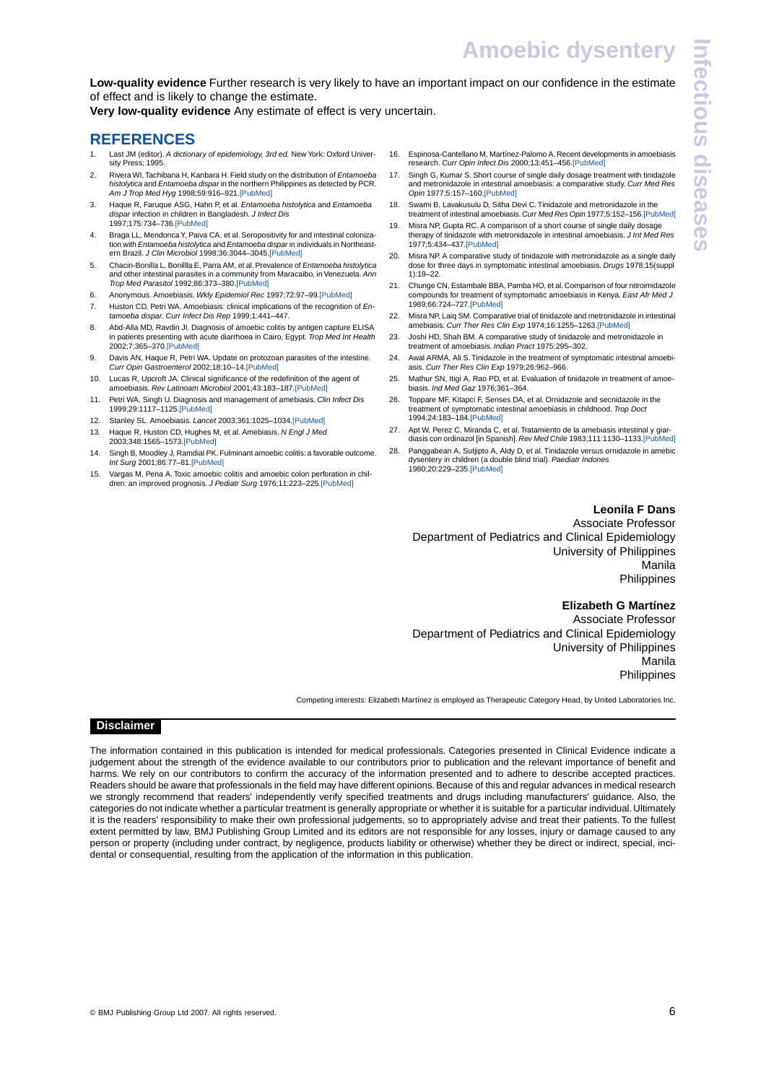<span id="page-5-27"></span>**Low-quality evidence** Further research is very likely to have an important impact on our confidence in the estimate of effect and is likely to change the estimate.

<span id="page-5-17"></span>**Very low-quality evidence** Any estimate of effect is very uncertain.

# <span id="page-5-1"></span>**REFERENCES**

- <span id="page-5-2"></span>1. Last JM (editor). *A dictionary of epidemiology, 3rd ed.* New York: Oxford Univer-sity Press; 1995.
- <span id="page-5-3"></span>2. Rivera WI, Tachibana H, Kanbara H. Field study on the distribution of *Entamoeba histolytica* and *Entamoeba dispar* in the northern Philippines as detected by PCR. *Am J Trop Med Hyg* 1998;59:916–921[.\[PubMed\]](http://www.ncbi.nlm.nih.gov/pubmed/9886200)
- <span id="page-5-4"></span>3. Haque R, Faruque ASG, Hahn P, et al. *Entamoeba histolytica* and *Entamoeba dispar* infection in children in Bangladesh. *J Infect Dis* 1997;175:734–736[.\[PubMed\]](http://www.ncbi.nlm.nih.gov/pubmed/9041357)
- <span id="page-5-5"></span>4. Braga LL, Mendonca Y, Paiva CA, et al. Seropositivity for and intestinal colonization with *Entamoeba histolytica* and *Entamoeba dispar* in individuals in Northeastern Brazil. *J Clin Microbiol* 1998;36:3044–3045.[\[PubMed\]](http://www.ncbi.nlm.nih.gov/pubmed/9738064)
- <span id="page-5-7"></span><span id="page-5-6"></span>5. Chacin-Bonilla L, Bonillla E, Parra AM, et al. Prevalence of *Entamoeba histolytica* and other intestinal parasites in a community from Maracaibo, in Venezuela. *Ann Trop Med Parasitol* 1992;86:373–380.[\[PubMed\]](http://www.ncbi.nlm.nih.gov/pubmed/1463357)
- <span id="page-5-8"></span>6. Anonymous. Amoebiasis. *Wkly Epidemiol Rec* 1997;72:97–99[.\[PubMed\]](http://www.ncbi.nlm.nih.gov/pubmed/9100475)
- 7. Huston CD, Petri WA. Amoebiasis: clinical implications of the recognition of *Entamoeba dispar*. *Curr Infect Dis Rep* 1999;1:441–447.
- <span id="page-5-9"></span>8. Abd-Alla MD, Ravdin JI. Diagnosis of amoebic colitis by antigen capture ELISA in patients presenting with acute diarrhoea in Cairo, Egypt. *Trop Med Int Health* 2002;7:365–370.[\[PubMed\]](http://www.ncbi.nlm.nih.gov/pubmed/11952953)
- <span id="page-5-11"></span><span id="page-5-10"></span>9. Davis AN, Haque R, Petri WA. Update on protozoan parasites of the intestine. *Curr Opin Gastroenterol* 2002;18:10–14[.\[PubMed\]](http://www.ncbi.nlm.nih.gov/pubmed/17031224)
- <span id="page-5-12"></span>10. Lucas R, Upcroft JA. Clinical significance of the redefinition of the agent of amoebiasis. *Rev Latinoam Microbiol* 2001;43:183–187[.\[PubMed\]](http://www.ncbi.nlm.nih.gov/pubmed/17061507)
- <span id="page-5-13"></span>11. Petri WA, Singh U. Diagnosis and management of amebiasis. *Clin Infect Dis* 1999;29:1117–1125.[\[PubMed\]](http://www.ncbi.nlm.nih.gov/pubmed/10524950)
- <span id="page-5-14"></span>12. Stanley SL. Amoebiasis. *Lancet* 2003;361:1025–1034[.\[PubMed\]](http://www.ncbi.nlm.nih.gov/pubmed/12660071)
- <span id="page-5-15"></span>13. Haque R, Huston CD, Hughes M, et al. Amebiasis. *N Engl J Med* 2003;348:1565–1573.[\[PubMed\]](http://www.ncbi.nlm.nih.gov/pubmed/12700377)
- <span id="page-5-0"></span>14. Singh B, Moodley J, Ramdial PK. Fulminant amoebic colitis: a favorable outcome. *Int Surg* 2001;86:77–81.[\[PubMed\]](http://www.ncbi.nlm.nih.gov/pubmed/11918241)
- 15. Vargas M, Pena A. Toxic amoebic colitis and amoebic colon perforation in children: an improved prognosis. *J Pediatr Surg* 1976;11:223–225.[\[PubMed\]](http://www.ncbi.nlm.nih.gov/pubmed/1263062)
- <span id="page-5-42"></span><span id="page-5-41"></span><span id="page-5-40"></span><span id="page-5-39"></span><span id="page-5-38"></span><span id="page-5-37"></span><span id="page-5-36"></span><span id="page-5-35"></span><span id="page-5-34"></span><span id="page-5-33"></span><span id="page-5-32"></span><span id="page-5-31"></span><span id="page-5-18"></span><span id="page-5-16"></span>16. Espinosa-Cantellano M, Martínez-Palomo A. Recent developments in amoebiasis research. *Curr Opin Infect Dis* 2000;13:451–456[.\[PubMed\]](http://www.ncbi.nlm.nih.gov/pubmed/11964813)
- <span id="page-5-19"></span>17. Singh G, Kumar S. Short course of single daily dosage treatment with tinidazole and metronidazole in intestinal amoebiasis: a comparative study. *Curr Med Res Opin* 1977;5:157–160[.\[PubMed\]](http://www.ncbi.nlm.nih.gov/pubmed/340132)
- <span id="page-5-20"></span>18. Swami B, Lavakusulu D, Sitha Devi C. Tinidazole and metronidazole in the treatment of intestinal amoebiasis. *Curr Med Res Opin* 1977;5:152–156[.\[PubMed\]](http://www.ncbi.nlm.nih.gov/pubmed/340131)
- <span id="page-5-21"></span>19. Misra NP, Gupta RC. A comparison of a short course of single daily dosage therapy of tinidazole with metronidazole in intestinal amoebiasis. *J Int Med Res* 1977;5:434–437[.\[PubMed\]](http://www.ncbi.nlm.nih.gov/pubmed/590600)
- <span id="page-5-22"></span>20. Misra NP. A comparative study of tinidazole with metronidazole as a single daily dose for three days in symptomatic intestinal amoebiasis. *Drugs* 1978;15(suppl 1):19–22.
- <span id="page-5-23"></span>21. Chunge CN, Estambale BBA, Pamba HO, et al. Comparison of four nitroimidazole compounds for treatment of symptomatic amoebiasis in Kenya. *East Afr Med J* 1989;66:724–727.[\[PubMed\]](http://www.ncbi.nlm.nih.gov/pubmed/2606014)
- <span id="page-5-25"></span><span id="page-5-24"></span>22. Misra NP, Laiq SM. Comparative trial of tinidazole and metronidazole in intestinal amebiasis. *Curr Ther Res Clin Exp* 1974;16:1255–1263[.\[PubMed\]](http://www.ncbi.nlm.nih.gov/pubmed/4218153)
- <span id="page-5-26"></span>23. Joshi HD, Shah BM. A comparative study of tinidazole and metronidazole in treatment of amoebiasis. *Indian Pract* 1975:295–302.
- <span id="page-5-28"></span>24. Awal ARMA, Ali S.Tinidazole in the treatment of symptomatic intestinal amoebiasis. *Curr Ther Res Clin Exp* 1979;26:962–966.
- <span id="page-5-29"></span>25. Mathur SN, Itigi A, Rao PD, et al. Evaluation of tinidazole in treatment of amoebiasis. *Ind Med Gaz* 1976;361–364.
- <span id="page-5-30"></span>26. Toppare MF, Kitapci F, Senses DA, et al. Ornidazole and secnidazole in the treatment of symptomatic intestinal amoebiasis in childhood. *Trop Doct* 1994;24:183–184.[\[PubMed\]](http://www.ncbi.nlm.nih.gov/pubmed/7801374)
- 27. Apt W, Perez C, Miranda C, et al. Tratamiento de la amebiasis intestinal y giardiasis con ordinazol [in Spanish]. *Rev Med Chile* 1983;111:1130–1133[.\[PubMed\]](http://www.ncbi.nlm.nih.gov/pubmed/6379802)
- 28. Panggabean A, Sutjipto A, Aldy D, et al. Tinidazole versus ornidazole in amebic dysentery in children (a double blind trial). *Paediatr Indones* 1980;20:229–235.[\[PubMed\]](http://www.ncbi.nlm.nih.gov/pubmed/7012759)

#### **Leonila F Dans**

Associate Professor Department of Pediatrics and Clinical Epidemiology University of Philippines Manila Philippines

# **Elizabeth G Martínez**

Associate Professor Department of Pediatrics and Clinical Epidemiology University of Philippines Manila Philippines

Competing interests: Elizabeth Martínez is employed as Therapeutic Category Head, by United Laboratories Inc.

# **Disclaimer**

The information contained in this publication is intended for medical professionals. Categories presented in Clinical Evidence indicate a judgement about the strength of the evidence available to our contributors prior to publication and the relevant importance of benefit and harms. We rely on our contributors to confirm the accuracy of the information presented and to adhere to describe accepted practices. Readers should be aware that professionals in the field may have different opinions. Because of this and regular advances in medical research we strongly recommend that readers' independently verify specified treatments and drugs including manufacturers' guidance. Also, the categories do not indicate whether a particular treatment is generally appropriate or whether it is suitable for a particular individual. Ultimately it is the readers' responsibility to make their own professional judgements, so to appropriately advise and treat their patients. To the fullest extent permitted by law, BMJ Publishing Group Limited and its editors are not responsible for any losses, injury or damage caused to any person or property (including under contract, by negligence, products liability or otherwise) whether they be direct or indirect, special, incidental or consequential, resulting from the application of the information in this publication.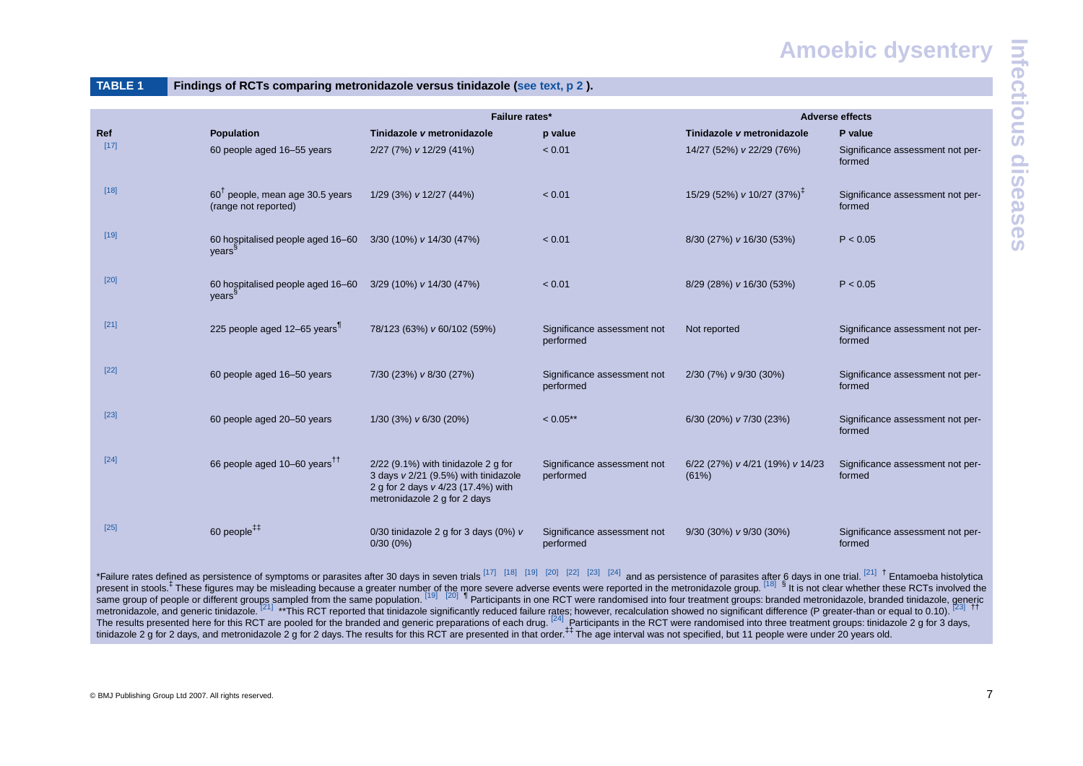# **Amoebic dysentery**

|  | TABLE |  |  |
|--|-------|--|--|
|  |       |  |  |
|  |       |  |  |

Findings of RCTs comparing metronidazole versus tinidazole [\(see text, p 2](#page-1-2)).

|                                                                                                                                                                                                                                        |                                                                     | Failure rates*                                                                                                                                    |                                          | <b>Adverse effects</b>                   |                                            |  |  |
|----------------------------------------------------------------------------------------------------------------------------------------------------------------------------------------------------------------------------------------|---------------------------------------------------------------------|---------------------------------------------------------------------------------------------------------------------------------------------------|------------------------------------------|------------------------------------------|--------------------------------------------|--|--|
| Ref                                                                                                                                                                                                                                    | Population                                                          | Tinidazole v metronidazole                                                                                                                        | p value                                  | Tinidazole v metronidazole               | P value                                    |  |  |
| $[17]$                                                                                                                                                                                                                                 | 60 people aged 16-55 years                                          | 2/27 (7%) v 12/29 (41%)                                                                                                                           | < 0.01                                   | 14/27 (52%) v 22/29 (76%)                | Significance assessment not per-<br>formed |  |  |
| $[18]$                                                                                                                                                                                                                                 | $60^{\text{T}}$ people, mean age 30.5 years<br>(range not reported) | 1/29 (3%) v 12/27 (44%)                                                                                                                           | < 0.01                                   | 15/29 (52%) v 10/27 (37%) <sup>‡</sup>   | Significance assessment not per-<br>formed |  |  |
| $[19]$                                                                                                                                                                                                                                 | 60 hospitalised people aged 16-60<br>years <sup>s</sup>             | 3/30 (10%) v 14/30 (47%)                                                                                                                          | < 0.01                                   | 8/30 (27%) v 16/30 (53%)                 | P < 0.05                                   |  |  |
| $[20]$                                                                                                                                                                                                                                 | 60 hospitalised people aged 16-60<br>years <sup>9</sup>             | 3/29 (10%) v 14/30 (47%)                                                                                                                          | < 0.01                                   | 8/29 (28%) v 16/30 (53%)                 | P < 0.05                                   |  |  |
| $[21]$                                                                                                                                                                                                                                 | 225 people aged 12-65 years <sup>1</sup>                            | 78/123 (63%) v 60/102 (59%)                                                                                                                       | Significance assessment not<br>performed | Not reported                             | Significance assessment not per-<br>formed |  |  |
| $[22]$                                                                                                                                                                                                                                 | 60 people aged 16-50 years                                          | 7/30 (23%) v 8/30 (27%)                                                                                                                           | Significance assessment not<br>performed | 2/30 (7%) v 9/30 (30%)                   | Significance assessment not per-<br>formed |  |  |
| $[23]$                                                                                                                                                                                                                                 | 60 people aged 20-50 years                                          | 1/30 (3%) v 6/30 (20%)                                                                                                                            | $< 0.05$ **                              | 6/30 (20%) v 7/30 (23%)                  | Significance assessment not per-<br>formed |  |  |
| $[24]$                                                                                                                                                                                                                                 | 66 people aged 10–60 years <sup>11</sup>                            | 2/22 (9.1%) with tinidazole 2 g for<br>3 days v 2/21 (9.5%) with tinidazole<br>2 g for 2 days v 4/23 (17.4%) with<br>metronidazole 2 g for 2 days | Significance assessment not<br>performed | 6/22 (27%) v 4/21 (19%) v 14/23<br>(61%) | Significance assessment not per-<br>formed |  |  |
| $[25]$                                                                                                                                                                                                                                 | 60 people $^{++}$                                                   | 0/30 tinidazole 2 g for 3 days (0%) v<br>$0/30(0\%)$                                                                                              | Significance assessment not<br>performed | 9/30 (30%) v 9/30 (30%)                  | Significance assessment not per-<br>formed |  |  |
| *Failure rates defined as persistence of symptoms or parasites after 30 days in seven trials [17] [18] [19] [20] [22] [23] [24] and as persistence of parasites after 6 days in one trial. [21] <sup>†</sup> Entamoeba histolytica pre |                                                                     |                                                                                                                                                   |                                          |                                          |                                            |  |  |

<span id="page-6-0"></span>same group of people or different groups sampled from the same population. <sup>[\[19\]](#page-5-33)</sup> [\[20\]](#page-5-34) I Participants in one RCT were randomised into four treatment groups: branded metronidazole, branded tinidazole, generic metronidazole, and generic tinidazole. <sup>[\[21\]](#page-5-35)</sup> \*\*This RCT reported that tinidazole significantly reduced failure rates; however, recalculation showed no significant difference (P greater-than or equal to 0.10). <sup>[\[23\]](#page-5-37)</sup> <sup>††</sup> The results presented here for this RCT are pooled for the branded and generic preparations of each drug.  $^{[24]}$  $^{[24]}$  $^{[24]}$  Participants in the RCT were randomised into three treatment groups: tinidazole 2 g for 3 days, tinidazole 2 g for 2 days, and metronidazole 2 g for 2 days. The results for this RCT are presented in that order.<sup>#‡</sup> The age interval was not specified, but 11 people were under 20 years old.